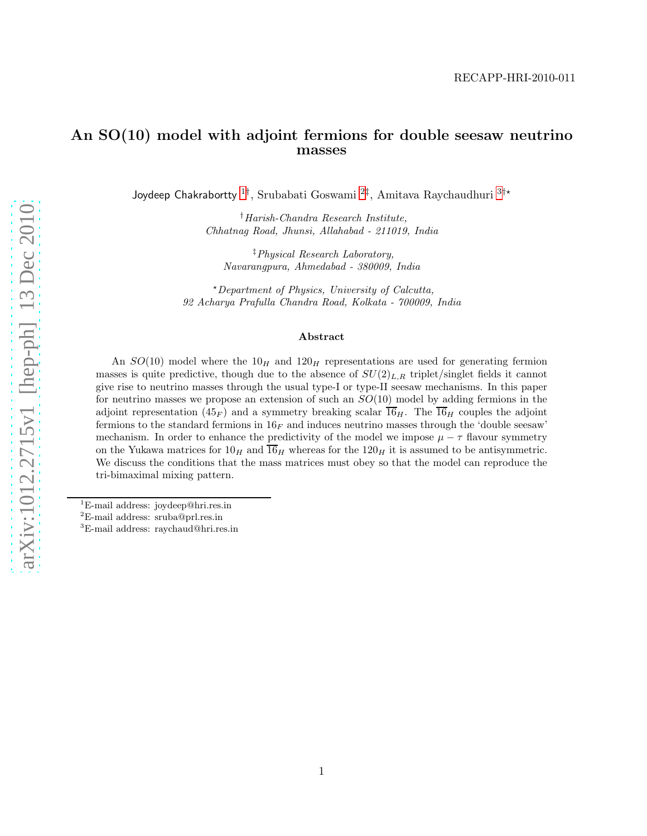## An SO(10) model with adjoint fermions for double seesaw neutrino masses

Joydeep Chakrabortty <sup>[1](#page-0-0)†</sup>, Srubabati Goswami <sup>[2](#page-0-1)‡</sup>, Amitava Raychaudhuri <sup>[3](#page-0-2)†\*</sup>

†Harish-Chandra Research Institute, Chhatnag Road, Jhunsi, Allahabad - 211019, India

‡Physical Research Laboratory, Navarangpura, Ahmedabad - 380009, India

 $\star$ Department of Physics, University of Calcutta, 92 Acharya Prafulla Chandra Road, Kolkata - 700009, India

#### Abstract

An  $SO(10)$  model where the  $10<sub>H</sub>$  and  $120<sub>H</sub>$  representations are used for generating fermion masses is quite predictive, though due to the absence of  $SU(2)_{L,R}$  triplet/singlet fields it cannot give rise to neutrino masses through the usual type-I or type-II seesaw mechanisms. In this paper for neutrino masses we propose an extension of such an  $SO(10)$  model by adding fermions in the adjoint representation  $(45<sub>F</sub>)$  and a symmetry breaking scalar  $\overline{16}_H$ . The  $\overline{16}_H$  couples the adjoint fermions to the standard fermions in  $16<sub>F</sub>$  and induces neutrino masses through the 'double seesaw' mechanism. In order to enhance the predictivity of the model we impose  $\mu - \tau$  flavour symmetry on the Yukawa matrices for  $10<sub>H</sub>$  and  $\overline{16<sub>H</sub>}$  whereas for the  $120<sub>H</sub>$  it is assumed to be antisymmetric. We discuss the conditions that the mass matrices must obey so that the model can reproduce the tri-bimaximal mixing pattern.

<sup>1</sup>E-mail address: joydeep@hri.res.in

<span id="page-0-0"></span><sup>2</sup>E-mail address: sruba@prl.res.in

<span id="page-0-2"></span><span id="page-0-1"></span><sup>3</sup>E-mail address: raychaud@hri.res.in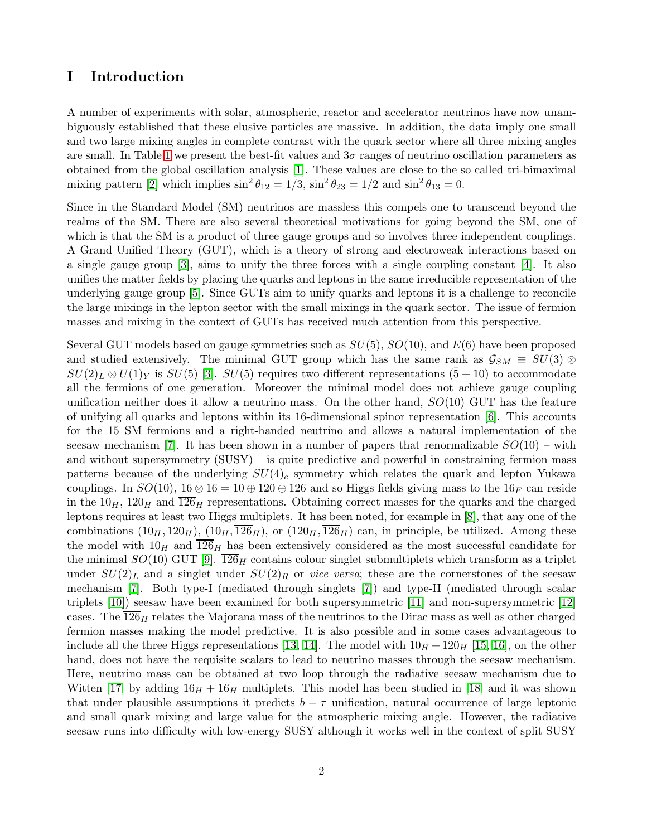## I Introduction

A number of experiments with solar, atmospheric, reactor and accelerator neutrinos have now unambiguously established that these elusive particles are massive. In addition, the data imply one small and two large mixing angles in complete contrast with the quark sector where all three mixing angles are small. In Table [1](#page-2-0) we present the best-fit values and  $3\sigma$  ranges of neutrino oscillation parameters as obtained from the global oscillation analysis [\[1\]](#page-11-0). These values are close to the so called tri-bimaximal mixing pattern [\[2\]](#page-11-1) which implies  $\sin^2 \theta_{12} = 1/3$ ,  $\sin^2 \theta_{23} = 1/2$  and  $\sin^2 \theta_{13} = 0$ .

Since in the Standard Model (SM) neutrinos are massless this compels one to transcend beyond the realms of the SM. There are also several theoretical motivations for going beyond the SM, one of which is that the SM is a product of three gauge groups and so involves three independent couplings. A Grand Unified Theory (GUT), which is a theory of strong and electroweak interactions based on a single gauge group [\[3\]](#page-11-2), aims to unify the three forces with a single coupling constant [\[4\]](#page-11-3). It also unifies the matter fields by placing the quarks and leptons in the same irreducible representation of the underlying gauge group [\[5\]](#page-11-4). Since GUTs aim to unify quarks and leptons it is a challenge to reconcile the large mixings in the lepton sector with the small mixings in the quark sector. The issue of fermion masses and mixing in the context of GUTs has received much attention from this perspective.

Several GUT models based on gauge symmetries such as  $SU(5)$ ,  $SO(10)$ , and  $E(6)$  have been proposed and studied extensively. The minimal GUT group which has the same rank as  $\mathcal{G}_{SM} \equiv SU(3) \otimes$  $SU(2)_L \otimes U(1)_Y$  is  $SU(5)$  [\[3\]](#page-11-2).  $SU(5)$  requires two different representations  $(5+10)$  to accommodate all the fermions of one generation. Moreover the minimal model does not achieve gauge coupling unification neither does it allow a neutrino mass. On the other hand,  $SO(10)$  GUT has the feature of unifying all quarks and leptons within its 16-dimensional spinor representation [\[6\]](#page-11-5). This accounts for the 15 SM fermions and a right-handed neutrino and allows a natural implementation of the seesaw mechanism [\[7\]](#page-11-6). It has been shown in a number of papers that renormalizable  $SO(10)$  – with and without supersymmetry  $(SUSY)$  – is quite predictive and powerful in constraining fermion mass patterns because of the underlying  $SU(4)_c$  symmetry which relates the quark and lepton Yukawa couplings. In  $SO(10)$ ,  $16 \otimes 16 = 10 \oplus 120 \oplus 126$  and so Higgs fields giving mass to the  $16<sub>F</sub>$  can reside in the  $10<sub>H</sub>$ ,  $120<sub>H</sub>$  and  $126<sub>H</sub>$  representations. Obtaining correct masses for the quarks and the charged leptons requires at least two Higgs multiplets. It has been noted, for example in [\[8\]](#page-11-7), that any one of the combinations  $(10_H, 120_H)$ ,  $(10_H, \overline{126}_H)$ , or  $(120_H, \overline{126}_H)$  can, in principle, be utilized. Among these the model with  $10<sub>H</sub>$  and  $\overline{126}_H$  has been extensively considered as the most successful candidate for the minimal  $SO(10)$  GUT [\[9\]](#page-11-8).  $\overline{126}_H$  contains colour singlet submultiplets which transform as a triplet under  $SU(2)_L$  and a singlet under  $SU(2)_R$  or *vice versa*; these are the cornerstones of the seesaw mechanism [\[7\]](#page-11-6). Both type-I (mediated through singlets [\[7\]](#page-11-6)) and type-II (mediated through scalar triplets [\[10\]](#page-11-9)) seesaw have been examined for both supersymmetric [\[11\]](#page-11-10) and non-supersymmetric [\[12\]](#page-12-0) cases. The  $126<sub>H</sub>$  relates the Majorana mass of the neutrinos to the Dirac mass as well as other charged fermion masses making the model predictive. It is also possible and in some cases advantageous to include all the three Higgs representations [\[13,](#page-12-1) [14\]](#page-12-2). The model with  $10<sub>H</sub> + 120<sub>H</sub>$  [\[15,](#page-12-3) [16\]](#page-12-4), on the other hand, does not have the requisite scalars to lead to neutrino masses through the seesaw mechanism. Here, neutrino mass can be obtained at two loop through the radiative seesaw mechanism due to Witten [\[17\]](#page-12-5) by adding  $16<sub>H</sub> + 16<sub>H</sub>$  multiplets. This model has been studied in [\[18\]](#page-12-6) and it was shown that under plausible assumptions it predicts  $b - \tau$  unification, natural occurrence of large leptonic and small quark mixing and large value for the atmospheric mixing angle. However, the radiative seesaw runs into difficulty with low-energy SUSY although it works well in the context of split SUSY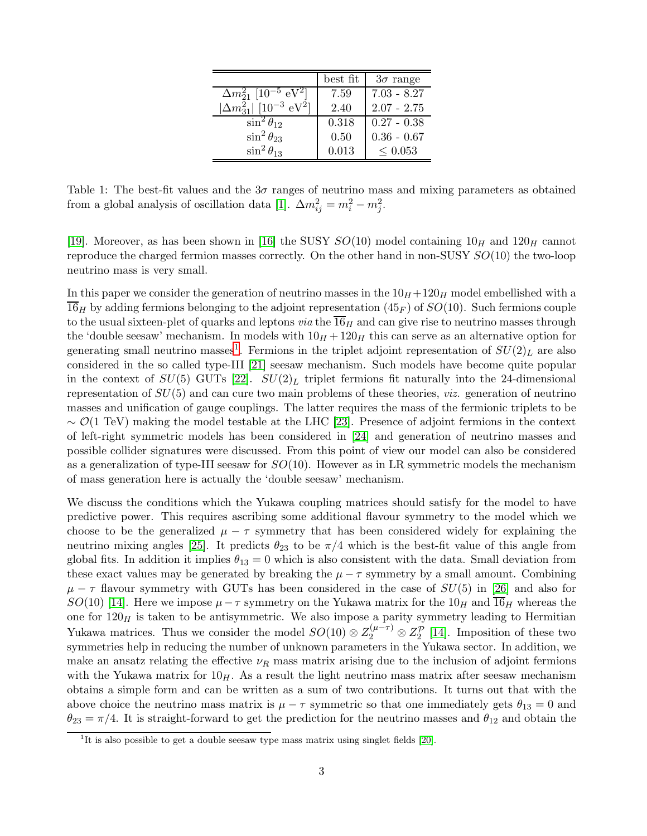|                                                         | $best$ fit | $3\sigma$ range |
|---------------------------------------------------------|------------|-----------------|
| $\Delta m_{21}^2$ [10 <sup>-5</sup> eV <sup>2</sup> ]   | 7.59       | $7.03 - 8.27$   |
| $ \Delta m^2_{31} $ [10 <sup>-3</sup> eV <sup>2</sup> ] | 2.40       | $2.07 - 2.75$   |
| $\sin^2\theta_{12}$                                     | 0.318      | $0.27 - 0.38$   |
| $\sin^2\theta_{23}$                                     | 0.50       | $0.36 - 0.67$   |
| $\sin^2\theta_{13}$                                     | 0.013      | $\leq$ 0.053    |

<span id="page-2-0"></span>Table 1: The best-fit values and the  $3\sigma$  ranges of neutrino mass and mixing parameters as obtained from a global analysis of oscillation data [\[1\]](#page-11-0).  $\Delta m_{ij}^2 = m_i^2 - m_j^2$ .

[\[19\]](#page-12-7). Moreover, as has been shown in [\[16\]](#page-12-4) the SUSY  $SO(10)$  model containing  $10<sub>H</sub>$  and  $120<sub>H</sub>$  cannot reproduce the charged fermion masses correctly. On the other hand in non-SUSY SO(10) the two-loop neutrino mass is very small.

In this paper we consider the generation of neutrino masses in the  $10<sub>H</sub> + 120<sub>H</sub>$  model embellished with a  $\overline{16}_H$  by adding fermions belonging to the adjoint representation (45<sub>F</sub>) of  $SO(10)$ . Such fermions couple to the usual sixteen-plet of quarks and leptons *via* the  $\overline{16}_H$  and can give rise to neutrino masses through the 'double seesaw' mechanism. In models with  $10<sub>H</sub> + 120<sub>H</sub>$  this can serve as an alternative option for generating small neutrino masses<sup>[1](#page-2-1)</sup>. Fermions in the triplet adjoint representation of  $SU(2)_L$  are also considered in the so called type-III [\[21\]](#page-12-8) seesaw mechanism. Such models have become quite popular in the context of  $SU(5)$  GUTs [\[22\]](#page-12-9).  $SU(2)_L$  triplet fermions fit naturally into the 24-dimensional representation of  $SU(5)$  and can cure two main problems of these theories, *viz.* generation of neutrino masses and unification of gauge couplings. The latter requires the mass of the fermionic triplets to be  $\sim \mathcal{O}(1 \text{ TeV})$  making the model testable at the LHC [\[23\]](#page-12-10). Presence of adjoint fermions in the context of left-right symmetric models has been considered in [\[24\]](#page-12-11) and generation of neutrino masses and possible collider signatures were discussed. From this point of view our model can also be considered as a generalization of type-III seesaw for  $SO(10)$ . However as in LR symmetric models the mechanism of mass generation here is actually the 'double seesaw' mechanism.

We discuss the conditions which the Yukawa coupling matrices should satisfy for the model to have predictive power. This requires ascribing some additional flavour symmetry to the model which we choose to be the generalized  $\mu - \tau$  symmetry that has been considered widely for explaining the neutrino mixing angles [\[25\]](#page-12-12). It predicts  $\theta_{23}$  to be  $\pi/4$  which is the best-fit value of this angle from global fits. In addition it implies  $\theta_{13} = 0$  which is also consistent with the data. Small deviation from these exact values may be generated by breaking the  $\mu - \tau$  symmetry by a small amount. Combining  $\mu - \tau$  flavour symmetry with GUTs has been considered in the case of  $SU(5)$  in [\[26\]](#page-12-13) and also for SO(10) [\[14\]](#page-12-2). Here we impose  $\mu - \tau$  symmetry on the Yukawa matrix for the 10 $_H$  and  $\overline{16}_H$  whereas the one for  $120<sub>H</sub>$  is taken to be antisymmetric. We also impose a parity symmetry leading to Hermitian Yukawa matrices. Thus we consider the model  $SO(10) \otimes Z_2^{(\mu-\tau)} \otimes Z_2^{\mathcal{P}}$  [\[14\]](#page-12-2). Imposition of these two symmetries help in reducing the number of unknown parameters in the Yukawa sector. In addition, we make an ansatz relating the effective  $\nu_R$  mass matrix arising due to the inclusion of adjoint fermions with the Yukawa matrix for  $10<sub>H</sub>$ . As a result the light neutrino mass matrix after seesaw mechanism obtains a simple form and can be written as a sum of two contributions. It turns out that with the above choice the neutrino mass matrix is  $\mu - \tau$  symmetric so that one immediately gets  $\theta_{13} = 0$  and  $\theta_{23} = \pi/4$ . It is straight-forward to get the prediction for the neutrino masses and  $\theta_{12}$  and obtain the

<span id="page-2-1"></span><sup>&</sup>lt;sup>1</sup>It is also possible to get a double seesaw type mass matrix using singlet fields  $[20]$ .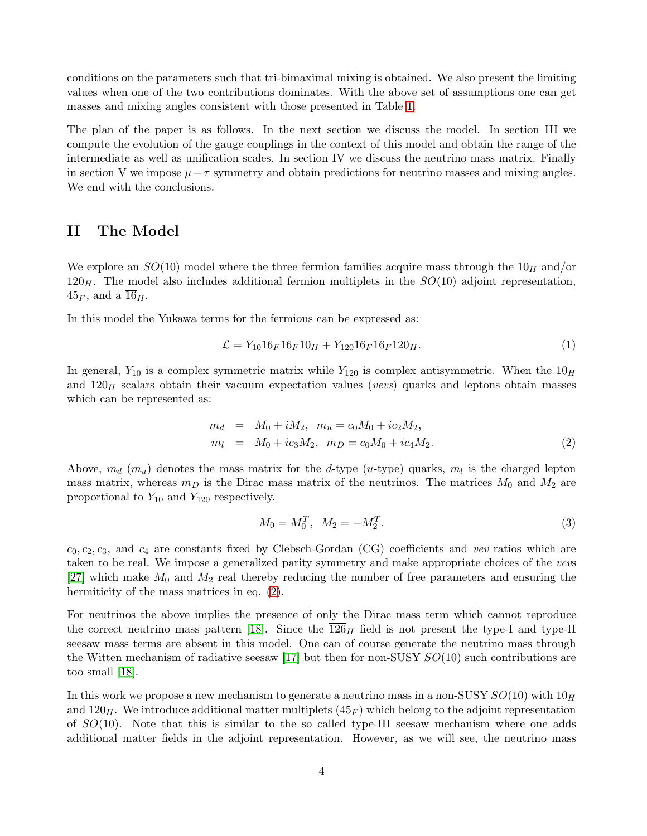conditions on the parameters such that tri-bimaximal mixing is obtained. We also present the limiting values when one of the two contributions dominates. With the above set of assumptions one can get masses and mixing angles consistent with those presented in Table [1.](#page-2-0)

The plan of the paper is as follows. In the next section we discuss the model. In section III we compute the evolution of the gauge couplings in the context of this model and obtain the range of the intermediate as well as unification scales. In section IV we discuss the neutrino mass matrix. Finally in section V we impose  $\mu - \tau$  symmetry and obtain predictions for neutrino masses and mixing angles. We end with the conclusions.

## II The Model

We explore an  $SO(10)$  model where the three fermion families acquire mass through the  $10<sub>H</sub>$  and/or  $120<sub>H</sub>$ . The model also includes additional fermion multiplets in the  $SO(10)$  adjoint representation,  $45_F$ , and a  $\overline{16}_H$ .

In this model the Yukawa terms for the fermions can be expressed as:

$$
\mathcal{L} = Y_{10} 16_F 16_F 10_H + Y_{120} 16_F 16_F 120_H. \tag{1}
$$

In general,  $Y_{10}$  is a complex symmetric matrix while  $Y_{120}$  is complex antisymmetric. When the  $10<sub>H</sub>$ and  $120<sub>H</sub>$  scalars obtain their vacuum expectation values (vevs) quarks and leptons obtain masses which can be represented as:

<span id="page-3-0"></span>
$$
m_d = M_0 + iM_2, \quad m_u = c_0M_0 + ic_2M_2,
$$
  
\n
$$
m_l = M_0 + ic_3M_2, \quad m_D = c_0M_0 + ic_4M_2.
$$
\n(2)

Above,  $m_d$  ( $m_u$ ) denotes the mass matrix for the *d*-type (*u*-type) quarks,  $m_l$  is the charged lepton mass matrix, whereas  $m_D$  is the Dirac mass matrix of the neutrinos. The matrices  $M_0$  and  $M_2$  are proportional to  $Y_{10}$  and  $Y_{120}$  respectively.

$$
M_0 = M_0^T, \quad M_2 = -M_2^T. \tag{3}
$$

 $c_0, c_2, c_3$ , and  $c_4$  are constants fixed by Clebsch-Gordan (CG) coefficients and vev ratios which are taken to be real. We impose a generalized parity symmetry and make appropriate choices of the vevs [\[27\]](#page-12-15) which make  $M_0$  and  $M_2$  real thereby reducing the number of free parameters and ensuring the hermiticity of the mass matrices in eq.  $(2)$ .

For neutrinos the above implies the presence of only the Dirac mass term which cannot reproduce the correct neutrino mass pattern [\[18\]](#page-12-6). Since the  $\overline{126}_H$  field is not present the type-I and type-II seesaw mass terms are absent in this model. One can of course generate the neutrino mass through the Witten mechanism of radiative seesaw [\[17\]](#page-12-5) but then for non-SUSY  $SO(10)$  such contributions are too small [\[18\]](#page-12-6).

In this work we propose a new mechanism to generate a neutrino mass in a non-SUSY  $SO(10)$  with  $10<sub>H</sub>$ and  $120<sub>H</sub>$ . We introduce additional matter multiplets  $(45<sub>F</sub>)$  which belong to the adjoint representation of  $SO(10)$ . Note that this is similar to the so called type-III seesaw mechanism where one adds additional matter fields in the adjoint representation. However, as we will see, the neutrino mass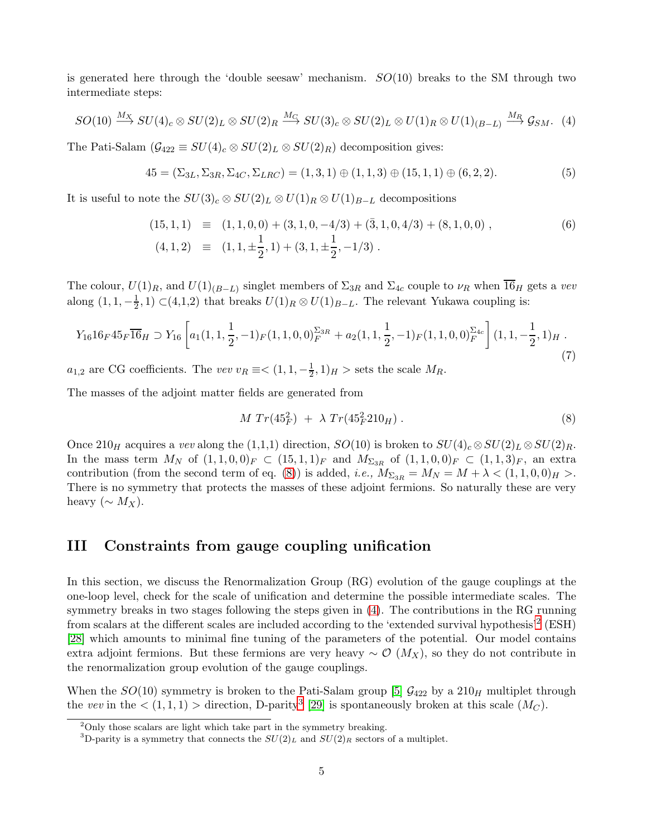is generated here through the 'double seesaw' mechanism.  $SO(10)$  breaks to the SM through two intermediate steps:

<span id="page-4-1"></span>
$$
SO(10) \stackrel{M_X}{\longrightarrow} SU(4)_c \otimes SU(2)_L \otimes SU(2)_R \stackrel{M_C}{\longrightarrow} SU(3)_c \otimes SU(2)_L \otimes U(1)_R \otimes U(1)_{(B-L)} \stackrel{M_R}{\longrightarrow} \mathcal{G}_{SM}.
$$
 (4)

The Pati-Salam  $(\mathcal{G}_{422} \equiv SU(4)_c \otimes SU(2)_L \otimes SU(2)_R)$  decomposition gives:

$$
45 = (\Sigma_{3L}, \Sigma_{3R}, \Sigma_{4C}, \Sigma_{LRC}) = (1, 3, 1) \oplus (1, 1, 3) \oplus (15, 1, 1) \oplus (6, 2, 2). \tag{5}
$$

It is useful to note the  $SU(3)_c \otimes SU(2)_L \otimes U(1)_R \otimes U(1)_{B-L}$  decompositions

$$
(15, 1, 1) \equiv (1, 1, 0, 0) + (3, 1, 0, -4/3) + (\overline{3}, 1, 0, 4/3) + (8, 1, 0, 0),
$$
  
\n
$$
(4, 1, 2) \equiv (1, 1, \pm \frac{1}{2}, 1) + (3, 1, \pm \frac{1}{2}, -1/3).
$$
 (6)

The colour,  $U(1)_R$ , and  $U(1)_{(B-L)}$  singlet members of  $\Sigma_{3R}$  and  $\Sigma_{4c}$  couple to  $\nu_R$  when  $\overline{16}_H$  gets a vev along  $(1, 1, -\frac{1}{2})$  $\frac{1}{2}$ , 1) ⊂(4,1,2) that breaks  $U(1)_R \otimes U(1)_{B-L}$ . The relevant Yukawa coupling is:

$$
Y_{16}16_F45_F\overline{16}_H \supset Y_{16} \left[ a_1(1,1,\frac{1}{2},-1)_F(1,1,0,0)_{F}^{\Sigma_{3R}} + a_2(1,1,\frac{1}{2},-1)_F(1,1,0,0)_{F}^{\Sigma_{4c}} \right] (1,1,-\frac{1}{2},1)_H.
$$
\n
$$
(7)
$$

 $a_{1,2}$  are CG coefficients. The vev  $v_R \equiv \lt (1, 1, -\frac{1}{2})$  $(\frac{1}{2}, 1)_H >$  sets the scale  $M_R$ .

The masses of the adjoint matter fields are generated from

<span id="page-4-0"></span>
$$
M Tr(45_F^2) + \lambda Tr(45_F^2 210_H). \tag{8}
$$

Once 210<sub>H</sub> acquires a vev along the (1,1,1) direction,  $SO(10)$  is broken to  $SU(4)_c \otimes SU(2)_L \otimes SU(2)_R$ . In the mass term  $M_N$  of  $(1, 1, 0, 0)_F \subset (15, 1, 1)_F$  and  $M_{\Sigma_{3R}}$  of  $(1, 1, 0, 0)_F \subset (1, 1, 3)_F$ , an extra contribution (from the second term of eq. [\(8\)](#page-4-0)) is added, *i.e.*,  $M_{\Sigma_{3R}} = M_N = M + \lambda < (1, 1, 0, 0)_H >$ . There is no symmetry that protects the masses of these adjoint fermions. So naturally these are very heavy ( $\sim M_X$ ).

### III Constraints from gauge coupling unification

In this section, we discuss the Renormalization Group (RG) evolution of the gauge couplings at the one-loop level, check for the scale of unification and determine the possible intermediate scales. The symmetry breaks in two stages following the steps given in [\(4\)](#page-4-1). The contributions in the RG running from scalars at the different scales are included according to the 'extended survival hypothesis'<sup>[2](#page-4-2)</sup> (ESH) [\[28\]](#page-12-16) which amounts to minimal fine tuning of the parameters of the potential. Our model contains extra adjoint fermions. But these fermions are very heavy  $\sim \mathcal{O}(M_X)$ , so they do not contribute in the renormalization group evolution of the gauge couplings.

When the  $SO(10)$  symmetry is broken to the Pati-Salam group [\[5\]](#page-11-4)  $\mathcal{G}_{422}$  by a  $210<sub>H</sub>$  multiplet through the vev in the  $\langle (1,1,1) \rangle$  direction, D-parity<sup>[3](#page-4-3)</sup> [\[29\]](#page-12-17) is spontaneously broken at this scale  $(M_C)$ .

<sup>2</sup>Only those scalars are light which take part in the symmetry breaking.

<span id="page-4-3"></span><span id="page-4-2"></span><sup>&</sup>lt;sup>3</sup>D-parity is a symmetry that connects the  $SU(2)<sub>L</sub>$  and  $SU(2)<sub>R</sub>$  sectors of a multiplet.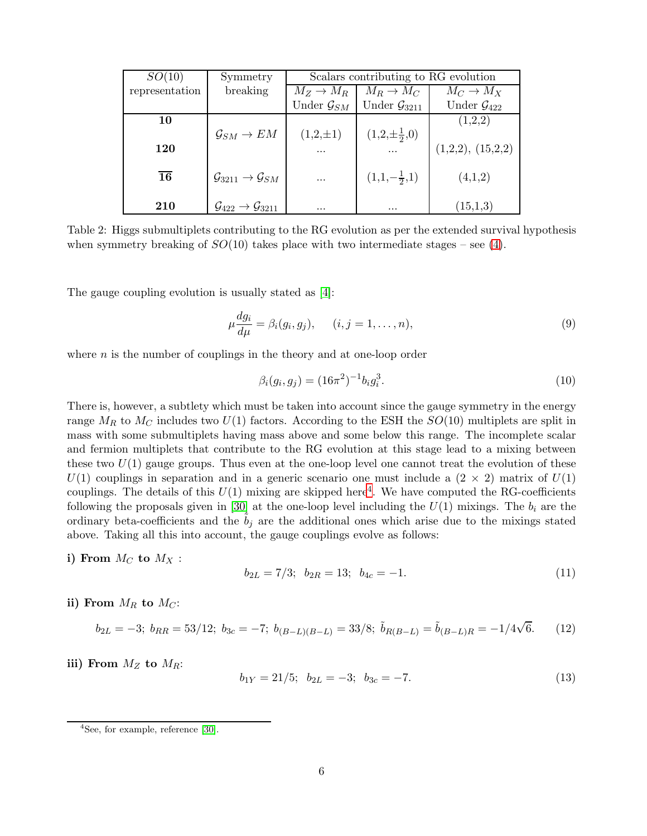| SO(10)          | Symmetry                                           | Scalars contributing to RG evolution |                            |                           |
|-----------------|----------------------------------------------------|--------------------------------------|----------------------------|---------------------------|
| representation  | breaking                                           | $M_Z \rightarrow M_R$                | $M_R \to M_C$              | $M_C \to M_X$             |
|                 |                                                    | Under $\mathcal{G}_{SM}$             | Under $\mathcal{G}_{3211}$ | Under $\mathcal{G}_{422}$ |
| 10              |                                                    |                                      |                            | (1,2,2)                   |
|                 | $\mathcal{G}_{SM} \to EM$                          | $(1,2,\pm 1)$                        | $(1,2,\pm \frac{1}{2},0)$  |                           |
| 120             |                                                    | .                                    |                            | (1,2,2), (15,2,2)         |
| $\overline{16}$ | $\mathcal{G}_{3211} \rightarrow \mathcal{G}_{SM}$  | $\cdots$                             | $(1,1,-\frac{1}{2},1)$     | (4,1,2)                   |
| 210             | $\mathcal{G}_{422} \rightarrow \mathcal{G}_{3211}$ | $\cdots$                             | $\cdots$                   | (15,1,3)                  |

Table 2: Higgs submultiplets contributing to the RG evolution as per the extended survival hypothesis when symmetry breaking of  $SO(10)$  takes place with two intermediate stages – see [\(4\)](#page-4-1).

The gauge coupling evolution is usually stated as [\[4\]](#page-11-3):

$$
\mu \frac{dg_i}{d\mu} = \beta_i(g_i, g_j), \qquad (i, j = 1, \dots, n), \tag{9}
$$

where  $n$  is the number of couplings in the theory and at one-loop order

$$
\beta_i(g_i, g_j) = (16\pi^2)^{-1} b_i g_i^3. \tag{10}
$$

There is, however, a subtlety which must be taken into account since the gauge symmetry in the energy range  $M_R$  to  $M_C$  includes two  $U(1)$  factors. According to the ESH the  $SO(10)$  multiplets are split in mass with some submultiplets having mass above and some below this range. The incomplete scalar and fermion multiplets that contribute to the RG evolution at this stage lead to a mixing between these two  $U(1)$  gauge groups. Thus even at the one-loop level one cannot treat the evolution of these  $U(1)$  couplings in separation and in a generic scenario one must include a  $(2 \times 2)$  matrix of  $U(1)$ couplings. The details of this  $U(1)$  mixing are skipped here<sup>[4](#page-5-0)</sup>. We have computed the RG-coefficients following the proposals given in [\[30\]](#page-12-18) at the one-loop level including the  $U(1)$  mixings. The  $b_i$  are the ordinary beta-coefficients and the  $b_j$  are the additional ones which arise due to the mixings stated above. Taking all this into account, the gauge couplings evolve as follows:

i) From  $M_C$  to  $M_X$ :

$$
b_{2L} = 7/3; \ b_{2R} = 13; \ b_{4c} = -1. \tag{11}
$$

ii) From  $M_R$  to  $M_C$ :

$$
b_{2L} = -3; \ b_{RR} = 53/12; \ b_{3c} = -7; \ b_{(B-L)(B-L)} = 33/8; \ \tilde{b}_{R(B-L)} = \tilde{b}_{(B-L)R} = -1/4\sqrt{6}. \tag{12}
$$

iii) From  $M_Z$  to  $M_R$ :

$$
b_{1Y} = 21/5; \ b_{2L} = -3; \ b_{3c} = -7. \tag{13}
$$

<span id="page-5-0"></span><sup>4</sup> See, for example, reference [\[30\]](#page-12-18).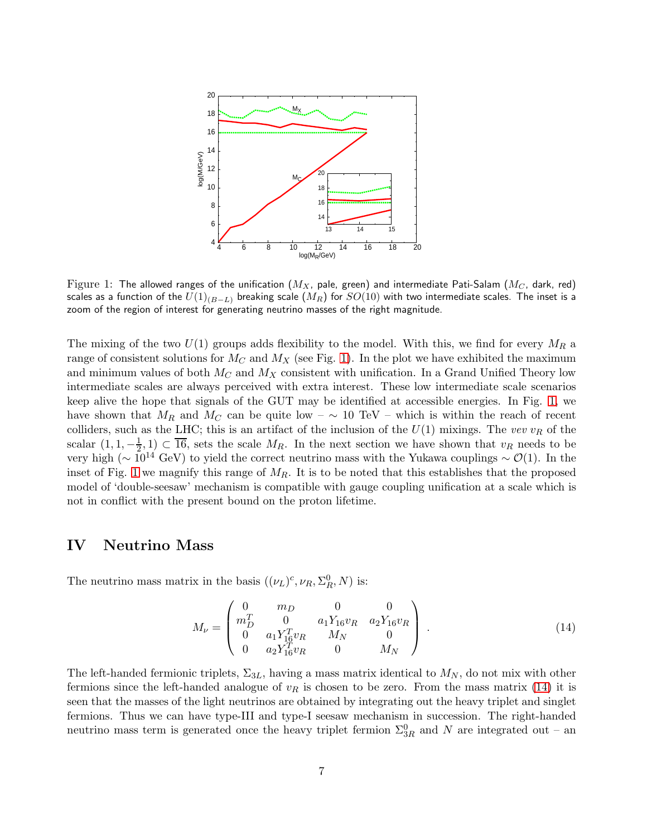

<span id="page-6-0"></span>Figure 1: The allowed ranges of the unification  $(M_X,$  pale, green) and intermediate Pati-Salam  $(M_C,$  dark, red) scales as a function of the  $U(1)_{(B-L)}$  breaking scale  $(M_R)$  for  $SO(10)$  with two intermediate scales. The inset is a zoom of the region of interest for generating neutrino masses of the right magnitude.

The mixing of the two  $U(1)$  groups adds flexibility to the model. With this, we find for every  $M_R$  a range of consistent solutions for  $M_C$  and  $M_X$  (see Fig. [1\)](#page-6-0). In the plot we have exhibited the maximum and minimum values of both  $M_C$  and  $M_X$  consistent with unification. In a Grand Unified Theory low intermediate scales are always perceived with extra interest. These low intermediate scale scenarios keep alive the hope that signals of the GUT may be identified at accessible energies. In Fig. [1,](#page-6-0) we have shown that  $M_R$  and  $M_C$  can be quite low –  $\sim 10$  TeV – which is within the reach of recent colliders, such as the LHC; this is an artifact of the inclusion of the  $U(1)$  mixings. The vev  $v_R$  of the scalar  $(1, 1, -\frac{1}{2})$  $\frac{1}{2}$ , 1) ⊂ 16, sets the scale  $M_R$ . In the next section we have shown that  $v_R$  needs to be very high ( $\sim 10^{14}$  GeV) to yield the correct neutrino mass with the Yukawa couplings  $\sim \mathcal{O}(1)$ . In the inset of Fig. [1](#page-6-0) we magnify this range of  $M_R$ . It is to be noted that this establishes that the proposed model of 'double-seesaw' mechanism is compatible with gauge coupling unification at a scale which is not in conflict with the present bound on the proton lifetime.

### IV Neutrino Mass

The neutrino mass matrix in the basis  $((\nu_L)^c, \nu_R, \Sigma_R^0, N)$  is:

<span id="page-6-1"></span>
$$
M_{\nu} = \begin{pmatrix} 0 & m_D & 0 & 0 \\ m_D^T & 0 & a_1 Y_{16} v_R & a_2 Y_{16} v_R \\ 0 & a_1 Y_{16}^T v_R & M_N & 0 \\ 0 & a_2 Y_{16}^T v_R & 0 & M_N \end{pmatrix} .
$$
 (14)

The left-handed fermionic triplets,  $\Sigma_{3L}$ , having a mass matrix identical to  $M_N$ , do not mix with other fermions since the left-handed analogue of  $v_R$  is chosen to be zero. From the mass matrix [\(14\)](#page-6-1) it is seen that the masses of the light neutrinos are obtained by integrating out the heavy triplet and singlet fermions. Thus we can have type-III and type-I seesaw mechanism in succession. The right-handed neutrino mass term is generated once the heavy triplet fermion  $\Sigma_{3R}^0$  and N are integrated out – an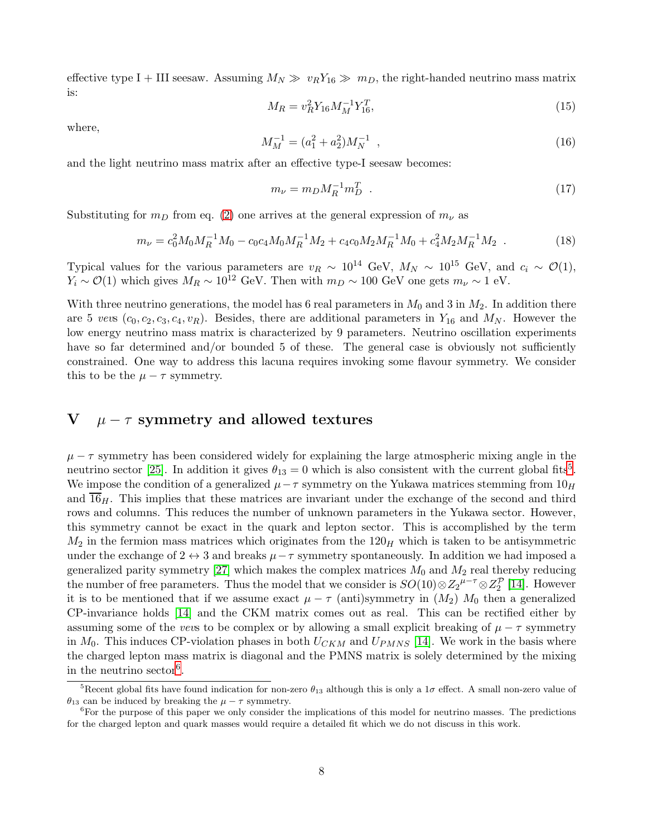effective type I + III seesaw. Assuming  $M_N \gg v_R Y_{16} \gg m_D$ , the right-handed neutrino mass matrix is:

<span id="page-7-2"></span>
$$
M_R = v_R^2 Y_{16} M_M^{-1} Y_{16}^T,\tag{15}
$$

where,

$$
M_M^{-1} = (a_1^2 + a_2^2)M_N^{-1} \t\t(16)
$$

and the light neutrino mass matrix after an effective type-I seesaw becomes:

$$
m_{\nu} = m_D M_R^{-1} m_D^T \t\t(17)
$$

Substituting for  $m_D$  from eq. [\(2\)](#page-3-0) one arrives at the general expression of  $m_{\nu}$  as

<span id="page-7-3"></span>
$$
m_{\nu} = c_0^2 M_0 M_R^{-1} M_0 - c_0 c_4 M_0 M_R^{-1} M_2 + c_4 c_0 M_2 M_R^{-1} M_0 + c_4^2 M_2 M_R^{-1} M_2 \tag{18}
$$

Typical values for the various parameters are  $v_R \sim 10^{14}$  GeV,  $M_N \sim 10^{15}$  GeV, and  $c_i \sim \mathcal{O}(1)$ ,  $Y_i \sim \mathcal{O}(1)$  which gives  $M_R \sim 10^{12}$  GeV. Then with  $m_D \sim 100$  GeV one gets  $m_\nu \sim 1$  eV.

With three neutrino generations, the model has 6 real parameters in  $M_0$  and 3 in  $M_2$ . In addition there are 5 vevs  $(c_0, c_2, c_3, c_4, v_R)$ . Besides, there are additional parameters in  $Y_{16}$  and  $M_N$ . However the low energy neutrino mass matrix is characterized by 9 parameters. Neutrino oscillation experiments have so far determined and/or bounded 5 of these. The general case is obviously not sufficiently constrained. One way to address this lacuna requires invoking some flavour symmetry. We consider this to be the  $\mu - \tau$  symmetry.

# V  $\mu - \tau$  symmetry and allowed textures

 $\mu - \tau$  symmetry has been considered widely for explaining the large atmospheric mixing angle in the neutrino sector [\[25\]](#page-12-12). In addition it gives  $\theta_{13} = 0$  which is also consistent with the current global fits<sup>[5](#page-7-0)</sup>. We impose the condition of a generalized  $\mu-\tau$  symmetry on the Yukawa matrices stemming from  $10<sub>H</sub>$ and  $\overline{16}_H$ . This implies that these matrices are invariant under the exchange of the second and third rows and columns. This reduces the number of unknown parameters in the Yukawa sector. However, this symmetry cannot be exact in the quark and lepton sector. This is accomplished by the term  $M_2$  in the fermion mass matrices which originates from the  $120<sub>H</sub>$  which is taken to be antisymmetric under the exchange of  $2 \leftrightarrow 3$  and breaks  $\mu - \tau$  symmetry spontaneously. In addition we had imposed a generalized parity symmetry [\[27\]](#page-12-15) which makes the complex matrices  $M_0$  and  $M_2$  real thereby reducing the number of free parameters. Thus the model that we consider is  $SO(10) \otimes Z_2^{\mu-\tau} \otimes Z_2^{\mathcal{P}}$  [\[14\]](#page-12-2). However it is to be mentioned that if we assume exact  $\mu - \tau$  (anti)symmetry in  $(M_2)$   $M_0$  then a generalized CP-invariance holds [\[14\]](#page-12-2) and the CKM matrix comes out as real. This can be rectified either by assuming some of the vevs to be complex or by allowing a small explicit breaking of  $\mu - \tau$  symmetry in  $M_0$ . This induces CP-violation phases in both  $U_{CKM}$  and  $U_{PMNS}$  [\[14\]](#page-12-2). We work in the basis where the charged lepton mass matrix is diagonal and the PMNS matrix is solely determined by the mixing in the neutrino sector<sup>[6](#page-7-1)</sup>.

<span id="page-7-0"></span><sup>&</sup>lt;sup>5</sup>Recent global fits have found indication for non-zero  $\theta_{13}$  although this is only a 1 $\sigma$  effect. A small non-zero value of  $\theta_{13}$  can be induced by breaking the  $\mu - \tau$  symmetry.

<span id="page-7-1"></span><sup>&</sup>lt;sup>6</sup>For the purpose of this paper we only consider the implications of this model for neutrino masses. The predictions for the charged lepton and quark masses would require a detailed fit which we do not discuss in this work.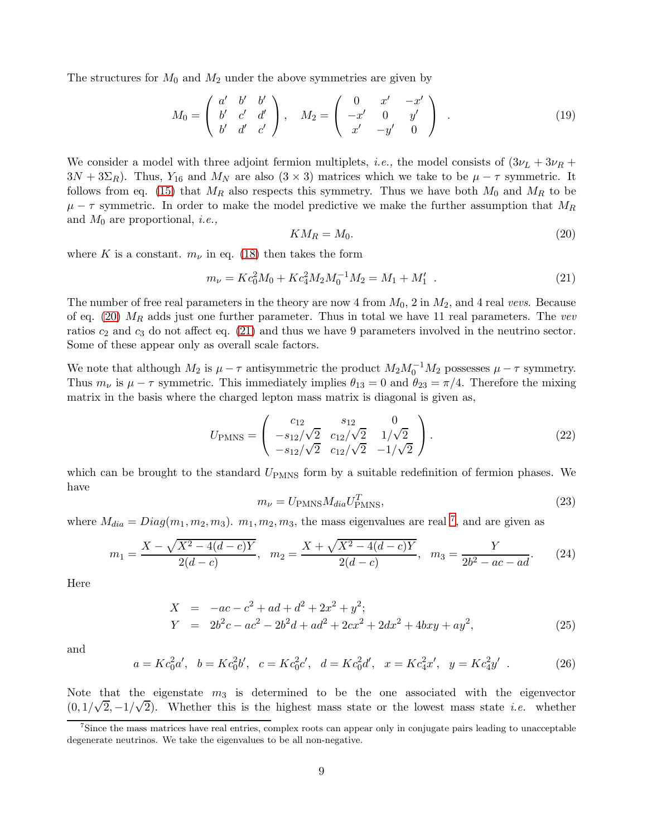The structures for  $M_0$  and  $M_2$  under the above symmetries are given by

<span id="page-8-5"></span>
$$
M_0 = \begin{pmatrix} a' & b' & b' \\ b' & c' & d' \\ b' & d' & c' \end{pmatrix}, \quad M_2 = \begin{pmatrix} 0 & x' & -x' \\ -x' & 0 & y' \\ x' & -y' & 0 \end{pmatrix} . \tag{19}
$$

We consider a model with three adjoint fermion multiplets, *i.e.*, the model consists of  $(3\nu_L + 3\nu_R +$  $3N + 3\Sigma_R$ ). Thus,  $Y_{16}$  and  $M_N$  are also  $(3 \times 3)$  matrices which we take to be  $\mu - \tau$  symmetric. It follows from eq. [\(15\)](#page-7-2) that  $M_R$  also respects this symmetry. Thus we have both  $M_0$  and  $M_R$  to be  $\mu - \tau$  symmetric. In order to make the model predictive we make the further assumption that  $M_R$ and  $M_0$  are proportional, *i.e.*,

<span id="page-8-0"></span>
$$
KM_R = M_0. \tag{20}
$$

where K is a constant.  $m_{\nu}$  in eq. [\(18\)](#page-7-3) then takes the form

<span id="page-8-1"></span>
$$
m_{\nu} = K c_0^2 M_0 + K c_4^2 M_2 M_0^{-1} M_2 = M_1 + M_1' \tag{21}
$$

The number of free real parameters in the theory are now 4 from  $M_0$ , 2 in  $M_2$ , and 4 real vevs. Because of eq. [\(20\)](#page-8-0)  $M_R$  adds just one further parameter. Thus in total we have 11 real parameters. The vev ratios  $c_2$  and  $c_3$  do not affect eq. [\(21\)](#page-8-1) and thus we have 9 parameters involved in the neutrino sector. Some of these appear only as overall scale factors.

We note that although  $M_2$  is  $\mu - \tau$  antisymmetric the product  $M_2 M_0^{-1} M_2$  possesses  $\mu - \tau$  symmetry. Thus  $m_{\nu}$  is  $\mu - \tau$  symmetric. This immediately implies  $\theta_{13} = 0$  and  $\theta_{23} = \pi/4$ . Therefore the mixing matrix in the basis where the charged lepton mass matrix is diagonal is given as,

<span id="page-8-3"></span>
$$
U_{\rm PMNS} = \begin{pmatrix} c_{12} & s_{12} & 0 \\ -s_{12}/\sqrt{2} & c_{12}/\sqrt{2} & 1/\sqrt{2} \\ -s_{12}/\sqrt{2} & c_{12}/\sqrt{2} & -1/\sqrt{2} \end{pmatrix} . \tag{22}
$$

which can be brought to the standard  $U_{\text{PMNS}}$  form by a suitable redefinition of fermion phases. We have

<span id="page-8-4"></span>
$$
m_{\nu} = U_{\text{PMNS}} M_{dia} U_{\text{PMNS}}^T,\tag{23}
$$

where  $M_{dia} = Diag(m_1, m_2, m_3)$ .  $m_1, m_2, m_3$ , the mass eigenvalues are real <sup>[7](#page-8-2)</sup>, and are given as

$$
m_1 = \frac{X - \sqrt{X^2 - 4(d - c)Y}}{2(d - c)}, \quad m_2 = \frac{X + \sqrt{X^2 - 4(d - c)Y}}{2(d - c)}, \quad m_3 = \frac{Y}{2b^2 - ac - ad}.
$$
 (24)

Here

$$
X = -ac - c2 + ad + d2 + 2x2 + y2;\nY = 2b2c - ac2 - 2b2d + ad2 + 2cx2 + 2dx2 + 4bxy + ay2,
$$
\n(25)

and

<span id="page-8-6"></span>
$$
a = Kc_0^2a', \quad b = Kc_0^2b', \quad c = Kc_0^2c', \quad d = Kc_0^2d', \quad x = Kc_4^2x', \quad y = Kc_4^2y' \quad . \tag{26}
$$

Note that the eigenstate  $m_3$  is determined to be the one associated with the eigenvector  $(0, 1/\sqrt{2}, -1/\sqrt{2})$ . Whether this is the highest mass state or the lowest mass state *i.e.* whether

<span id="page-8-2"></span><sup>7</sup>Since the mass matrices have real entries, complex roots can appear only in conjugate pairs leading to unacceptable degenerate neutrinos. We take the eigenvalues to be all non-negative.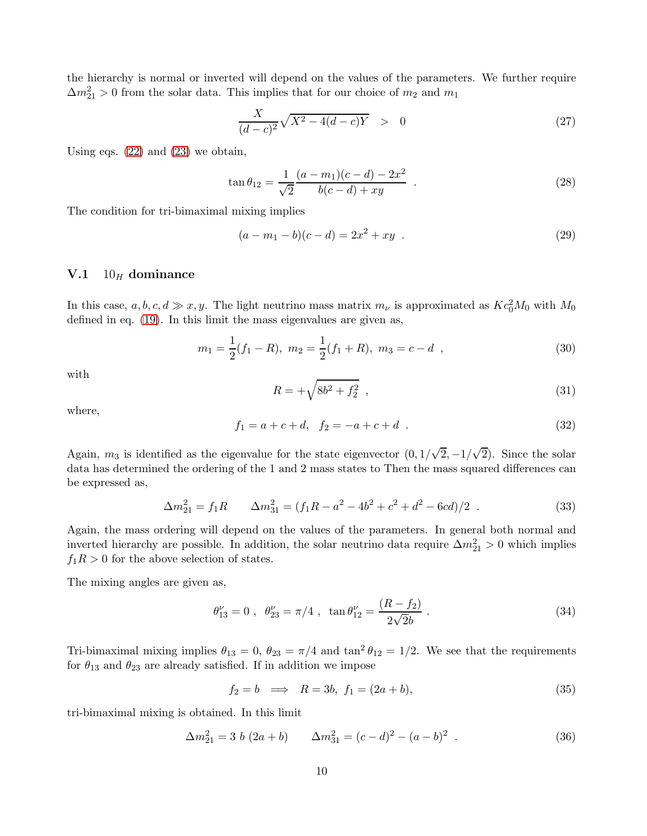the hierarchy is normal or inverted will depend on the values of the parameters. We further require  $\Delta m_{21}^2 > 0$  from the solar data. This implies that for our choice of  $m_2$  and  $m_1$ 

$$
\frac{X}{(d-c)^2} \sqrt{X^2 - 4(d-c)Y} > 0
$$
\n(27)

Using eqs.  $(22)$  and  $(23)$  we obtain,

$$
\tan \theta_{12} = \frac{1}{\sqrt{2}} \frac{(a - m_1)(c - d) - 2x^2}{b(c - d) + xy} . \tag{28}
$$

The condition for tri-bimaximal mixing implies

$$
(a - m1 - b)(c - d) = 2x2 + xy
$$
 (29)

#### **V.1**  $10_H$  dominance

In this case,  $a, b, c, d \gg x, y$ . The light neutrino mass matrix  $m_{\nu}$  is approximated as  $Kc_0^2M_0$  with  $M_0$ defined in eq. [\(19\)](#page-8-5). In this limit the mass eigenvalues are given as,

$$
m_1 = \frac{1}{2}(f_1 - R), \ m_2 = \frac{1}{2}(f_1 + R), \ m_3 = c - d \quad , \tag{30}
$$

with

$$
R = +\sqrt{8b^2 + f_2^2} \t{31}
$$

where,

$$
f_1 = a + c + d, \quad f_2 = -a + c + d \quad . \tag{32}
$$

Again,  $m_3$  is identified as the eigenvalue for the state eigenvector  $(0, 1/\sqrt{2}, -1/\sqrt{2})$ . Since the solar data has determined the ordering of the 1 and 2 mass states to Then the mass squared differences can be expressed as,

$$
\Delta m_{21}^2 = f_1 R \qquad \Delta m_{31}^2 = (f_1 R - a^2 - 4b^2 + c^2 + d^2 - 6cd)/2 \tag{33}
$$

Again, the mass ordering will depend on the values of the parameters. In general both normal and inverted hierarchy are possible. In addition, the solar neutrino data require  $\Delta m_{21}^2 > 0$  which implies  $f_1R > 0$  for the above selection of states.

The mixing angles are given as,

$$
\theta_{13}^{\nu} = 0 \ , \ \theta_{23}^{\nu} = \pi/4 \ , \ \tan \theta_{12}^{\nu} = \frac{(R - f_2)}{2\sqrt{2}b} \ . \tag{34}
$$

Tri-bimaximal mixing implies  $\theta_{13} = 0$ ,  $\theta_{23} = \pi/4$  and  $\tan^2 \theta_{12} = 1/2$ . We see that the requirements for  $\theta_{13}$  and  $\theta_{23}$  are already satisfied. If in addition we impose

$$
f_2 = b \implies R = 3b, f_1 = (2a + b), \tag{35}
$$

tri-bimaximal mixing is obtained. In this limit

$$
\Delta m_{21}^2 = 3 b (2a + b) \qquad \Delta m_{31}^2 = (c - d)^2 - (a - b)^2 \tag{36}
$$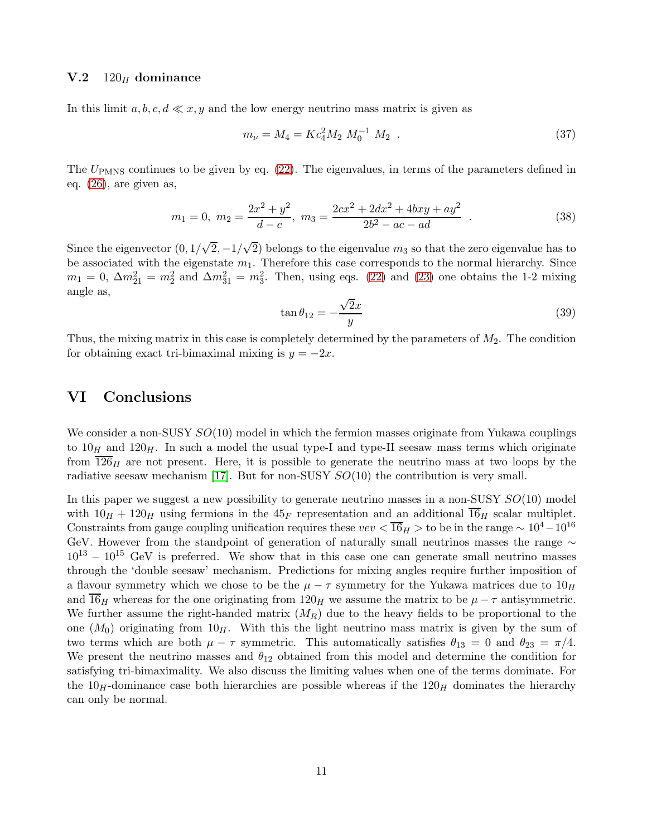#### **V.2** 120 $_H$  dominance

In this limit  $a, b, c, d \ll x, y$  and the low energy neutrino mass matrix is given as

$$
m_{\nu} = M_4 = K c_4^2 M_2 M_0^{-1} M_2 . \qquad (37)
$$

The  $U_{\rm PMNS}$  continues to be given by eq. [\(22\)](#page-8-3). The eigenvalues, in terms of the parameters defined in eq. [\(26\)](#page-8-6), are given as,

$$
m_1 = 0, \ m_2 = \frac{2x^2 + y^2}{d - c}, \ m_3 = \frac{2cx^2 + 2dx^2 + 4bxy + ay^2}{2b^2 - ac - ad} \ . \tag{38}
$$

Since the eigenvector  $(0, 1/\sqrt{2}, -1/\sqrt{2})$  belongs to the eigenvalue  $m_3$  so that the zero eigenvalue has to be associated with the eigenstate  $m_1$ . Therefore this case corresponds to the normal hierarchy. Since  $m_1 = 0$ ,  $\Delta m_{21}^2 = m_2^2$  and  $\Delta m_{31}^2 = m_3^2$ . Then, using eqs. [\(22\)](#page-8-3) and [\(23\)](#page-8-4) one obtains the 1-2 mixing angle as,

$$
\tan \theta_{12} = -\frac{\sqrt{2}x}{y} \tag{39}
$$

Thus, the mixing matrix in this case is completely determined by the parameters of  $M_2$ . The condition for obtaining exact tri-bimaximal mixing is  $y = -2x$ .

## VI Conclusions

We consider a non-SUSY  $SO(10)$  model in which the fermion masses originate from Yukawa couplings to  $10<sub>H</sub>$  and  $120<sub>H</sub>$ . In such a model the usual type-I and type-II seesaw mass terms which originate from  $126<sub>H</sub>$  are not present. Here, it is possible to generate the neutrino mass at two loops by the radiative seesaw mechanism [\[17\]](#page-12-5). But for non-SUSY  $SO(10)$  the contribution is very small.

In this paper we suggest a new possibility to generate neutrino masses in a non-SUSY  $SO(10)$  model with  $10<sub>H</sub> + 120<sub>H</sub>$  using fermions in the  $45<sub>F</sub>$  representation and an additional  $\overline{16}_H$  scalar multiplet. Constraints from gauge coupling unification requires these  $vev < \overline{16}_H >$  to be in the range ~  $10^4-10^{16}$ GeV. However from the standpoint of generation of naturally small neutrinos masses the range ∼  $10^{13} - 10^{15}$  GeV is preferred. We show that in this case one can generate small neutrino masses through the 'double seesaw' mechanism. Predictions for mixing angles require further imposition of a flavour symmetry which we chose to be the  $\mu - \tau$  symmetry for the Yukawa matrices due to  $10<sub>H</sub>$ and 16H whereas for the one originating from 120H we assume the matrix to be  $\mu - \tau$  antisymmetric. We further assume the right-handed matrix  $(M_R)$  due to the heavy fields to be proportional to the one  $(M_0)$  originating from  $10<sub>H</sub>$ . With this the light neutrino mass matrix is given by the sum of two terms which are both  $\mu - \tau$  symmetric. This automatically satisfies  $\theta_{13} = 0$  and  $\theta_{23} = \pi/4$ . We present the neutrino masses and  $\theta_{12}$  obtained from this model and determine the condition for satisfying tri-bimaximality. We also discuss the limiting values when one of the terms dominate. For the  $10<sub>H</sub>$ -dominance case both hierarchies are possible whereas if the  $120<sub>H</sub>$  dominates the hierarchy can only be normal.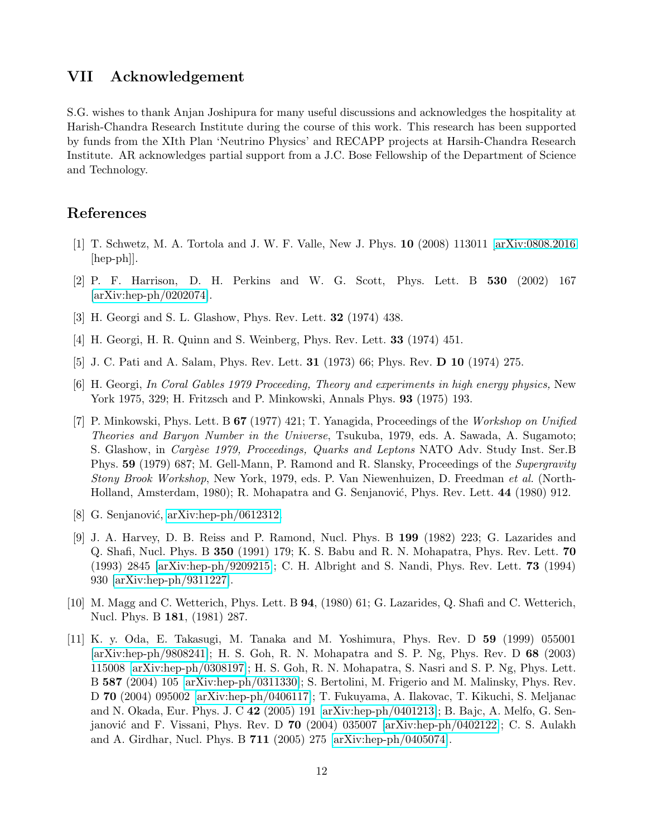## VII Acknowledgement

S.G. wishes to thank Anjan Joshipura for many useful discussions and acknowledges the hospitality at Harish-Chandra Research Institute during the course of this work. This research has been supported by funds from the XIth Plan 'Neutrino Physics' and RECAPP projects at Harsih-Chandra Research Institute. AR acknowledges partial support from a J.C. Bose Fellowship of the Department of Science and Technology.

## <span id="page-11-0"></span>References

- <span id="page-11-1"></span>[1] T. Schwetz, M. A. Tortola and J. W. F. Valle, New J. Phys. 10 (2008) 113011 [\[arXiv:0808.2016](http://arxiv.org/abs/0808.2016)  $\vert \text{hep-ph} \vert$ .
- <span id="page-11-2"></span>[2] P. F. Harrison, D. H. Perkins and W. G. Scott, Phys. Lett. B 530 (2002) 167 [\[arXiv:hep-ph/0202074\]](http://arxiv.org/abs/hep-ph/0202074).
- <span id="page-11-3"></span>[3] H. Georgi and S. L. Glashow, Phys. Rev. Lett. 32 (1974) 438.
- <span id="page-11-4"></span>[4] H. Georgi, H. R. Quinn and S. Weinberg, Phys. Rev. Lett. 33 (1974) 451.
- <span id="page-11-5"></span>[5] J. C. Pati and A. Salam, Phys. Rev. Lett. 31 (1973) 66; Phys. Rev. D 10 (1974) 275.
- [6] H. Georgi, In Coral Gables 1979 Proceeding, Theory and experiments in high energy physics, New York 1975, 329; H. Fritzsch and P. Minkowski, Annals Phys. 93 (1975) 193.
- <span id="page-11-6"></span>[7] P. Minkowski, Phys. Lett. B 67 (1977) 421; T. Yanagida, Proceedings of the Workshop on Unified Theories and Baryon Number in the Universe, Tsukuba, 1979, eds. A. Sawada, A. Sugamoto; S. Glashow, in *Cargèse 1979, Proceedings, Quarks and Leptons* NATO Adv. Study Inst. Ser.B Phys. 59 (1979) 687; M. Gell-Mann, P. Ramond and R. Slansky, Proceedings of the Supergravity Stony Brook Workshop, New York, 1979, eds. P. Van Niewenhuizen, D. Freedman et al. (North-Holland, Amsterdam, 1980); R. Mohapatra and G. Senjanović, Phys. Rev. Lett. 44 (1980) 912.
- <span id="page-11-8"></span><span id="page-11-7"></span>[8] G. Senjanović, [arXiv:hep-ph/0612312.](http://arxiv.org/abs/hep-ph/0612312)
- [9] J. A. Harvey, D. B. Reiss and P. Ramond, Nucl. Phys. B 199 (1982) 223; G. Lazarides and Q. Shafi, Nucl. Phys. B 350 (1991) 179; K. S. Babu and R. N. Mohapatra, Phys. Rev. Lett. 70 (1993) 2845 [\[arXiv:hep-ph/9209215\]](http://arxiv.org/abs/hep-ph/9209215); C. H. Albright and S. Nandi, Phys. Rev. Lett. 73 (1994) 930 [\[arXiv:hep-ph/9311227\]](http://arxiv.org/abs/hep-ph/9311227).
- <span id="page-11-9"></span>[10] M. Magg and C. Wetterich, Phys. Lett. B 94, (1980) 61; G. Lazarides, Q. Shafi and C. Wetterich, Nucl. Phys. B 181, (1981) 287.
- <span id="page-11-10"></span>[11] K. y. Oda, E. Takasugi, M. Tanaka and M. Yoshimura, Phys. Rev. D 59 (1999) 055001 [\[arXiv:hep-ph/9808241\]](http://arxiv.org/abs/hep-ph/9808241); H. S. Goh, R. N. Mohapatra and S. P. Ng, Phys. Rev. D 68 (2003) 115008 [\[arXiv:hep-ph/0308197\]](http://arxiv.org/abs/hep-ph/0308197); H. S. Goh, R. N. Mohapatra, S. Nasri and S. P. Ng, Phys. Lett. B 587 (2004) 105 [\[arXiv:hep-ph/0311330\]](http://arxiv.org/abs/hep-ph/0311330); S. Bertolini, M. Frigerio and M. Malinsky, Phys. Rev. D 70 (2004) 095002 [\[arXiv:hep-ph/0406117\]](http://arxiv.org/abs/hep-ph/0406117); T. Fukuyama, A. Ilakovac, T. Kikuchi, S. Meljanac and N. Okada, Eur. Phys. J. C 42 (2005) 191 [\[arXiv:hep-ph/0401213\]](http://arxiv.org/abs/hep-ph/0401213); B. Bajc, A. Melfo, G. Sen-janović and F. Vissani, Phys. Rev. D 70 (2004) 035007 [\[arXiv:hep-ph/0402122\]](http://arxiv.org/abs/hep-ph/0402122); C. S. Aulakh and A. Girdhar, Nucl. Phys. B 711 (2005) 275 [\[arXiv:hep-ph/0405074\]](http://arxiv.org/abs/hep-ph/0405074).